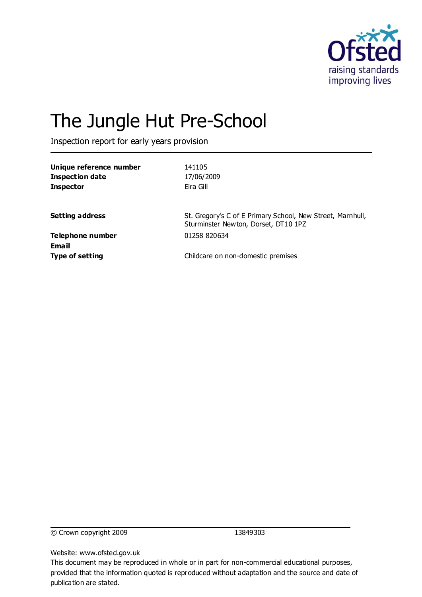

# The Jungle Hut Pre-School

Inspection report for early years provision

| Unique reference number<br><b>Inspection date</b><br><b>Inspector</b> | 141105<br>17/06/2009<br>Eira Gill                                                                  |
|-----------------------------------------------------------------------|----------------------------------------------------------------------------------------------------|
| <b>Setting address</b>                                                | St. Gregory's C of E Primary School, New Street, Marnhull,<br>Sturminster Newton, Dorset, DT10 1PZ |
| <b>Telephone number</b><br><b>Email</b>                               | 01258 820634                                                                                       |
| <b>Type of setting</b>                                                | Childcare on non-domestic premises                                                                 |

© Crown copyright 2009 13849303

Website: www.ofsted.gov.uk

This document may be reproduced in whole or in part for non-commercial educational purposes, provided that the information quoted is reproduced without adaptation and the source and date of publication are stated.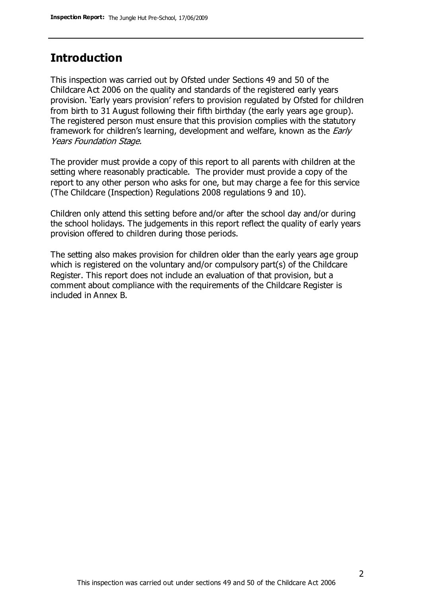## **Introduction**

This inspection was carried out by Ofsted under Sections 49 and 50 of the Childcare Act 2006 on the quality and standards of the registered early years provision. 'Early years provision' refers to provision regulated by Ofsted for children from birth to 31 August following their fifth birthday (the early years age group). The registered person must ensure that this provision complies with the statutory framework for children's learning, development and welfare, known as the *Early* Years Foundation Stage.

The provider must provide a copy of this report to all parents with children at the setting where reasonably practicable. The provider must provide a copy of the report to any other person who asks for one, but may charge a fee for this service (The Childcare (Inspection) Regulations 2008 regulations 9 and 10).

Children only attend this setting before and/or after the school day and/or during the school holidays. The judgements in this report reflect the quality of early years provision offered to children during those periods.

The setting also makes provision for children older than the early years age group which is registered on the voluntary and/or compulsory part(s) of the Childcare Register. This report does not include an evaluation of that provision, but a comment about compliance with the requirements of the Childcare Register is included in Annex B.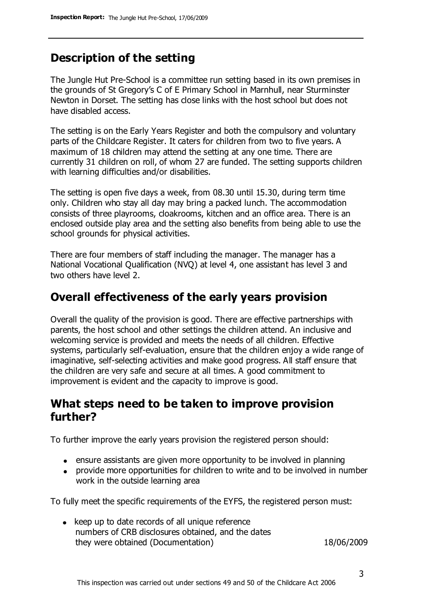# **Description of the setting**

The Jungle Hut Pre-School is a committee run setting based in its own premises in the grounds of St Gregory's C of E Primary School in Marnhull, near Sturminster Newton in Dorset. The setting has close links with the host school but does not have disabled access.

The setting is on the Early Years Register and both the compulsory and voluntary parts of the Childcare Register. It caters for children from two to five years. A maximum of 18 children may attend the setting at any one time. There are currently 31 children on roll, of whom 27 are funded. The setting supports children with learning difficulties and/or disabilities.

The setting is open five days a week, from 08.30 until 15.30, during term time only. Children who stay all day may bring a packed lunch. The accommodation consists of three playrooms, cloakrooms, kitchen and an office area. There is an enclosed outside play area and the setting also benefits from being able to use the school grounds for physical activities.

There are four members of staff including the manager. The manager has a National Vocational Qualification (NVQ) at level 4, one assistant has level 3 and two others have level 2.

## **Overall effectiveness of the early years provision**

Overall the quality of the provision is good. There are effective partnerships with parents, the host school and other settings the children attend. An inclusive and welcoming service is provided and meets the needs of all children. Effective systems, particularly self-evaluation, ensure that the children enjoy a wide range of imaginative, self-selecting activities and make good progress. All staff ensure that the children are very safe and secure at all times. A good commitment to improvement is evident and the capacity to improve is good.

## **What steps need to be taken to improve provision further?**

To further improve the early years provision the registered person should:

- ensure assistants are given more opportunity to be involved in planning
- provide more opportunities for children to write and to be involved in number work in the outside learning area

To fully meet the specific requirements of the EYFS, the registered person must:

 $\bullet$  keep up to date records of all unique reference numbers of CRB disclosures obtained, and the dates they were obtained (Documentation) 18/06/2009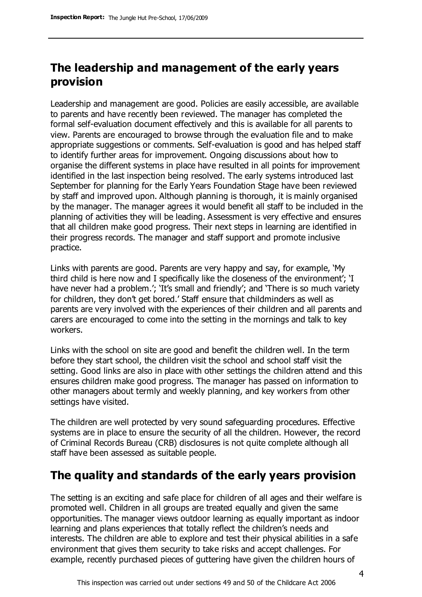# **The leadership and management of the early years provision**

Leadership and management are good. Policies are easily accessible, are available to parents and have recently been reviewed. The manager has completed the formal self-evaluation document effectively and this is available for all parents to view. Parents are encouraged to browse through the evaluation file and to make appropriate suggestions or comments. Self-evaluation is good and has helped staff to identify further areas for improvement. Ongoing discussions about how to organise the different systems in place have resulted in all points for improvement identified in the last inspection being resolved. The early systems introduced last September for planning for the Early Years Foundation Stage have been reviewed by staff and improved upon. Although planning is thorough, it is mainly organised by the manager. The manager agrees it would benefit all staff to be included in the planning of activities they will be leading. Assessment is very effective and ensures that all children make good progress. Their next steps in learning are identified in their progress records. The manager and staff support and promote inclusive practice.

Links with parents are good. Parents are very happy and say, for example, 'My third child is here now and I specifically like the closeness of the environment'; 'I have never had a problem.'; `It's small and friendly'; and `There is so much variety for children, they don't get bored.' Staff ensure that childminders as well as parents are very involved with the experiences of their children and all parents and carers are encouraged to come into the setting in the mornings and talk to key workers.

Links with the school on site are good and benefit the children well. In the term before they start school, the children visit the school and school staff visit the setting. Good links are also in place with other settings the children attend and this ensures children make good progress. The manager has passed on information to other managers about termly and weekly planning, and key workers from other settings have visited.

The children are well protected by very sound safeguarding procedures. Effective systems are in place to ensure the security of all the children. However, the record of Criminal Records Bureau (CRB) disclosures is not quite complete although all staff have been assessed as suitable people.

## **The quality and standards of the early years provision**

The setting is an exciting and safe place for children of all ages and their welfare is promoted well. Children in all groups are treated equally and given the same opportunities. The manager views outdoor learning as equally important as indoor learning and plans experiences that totally reflect the children's needs and interests. The children are able to explore and test their physical abilities in a safe environment that gives them security to take risks and accept challenges. For example, recently purchased pieces of guttering have given the children hours of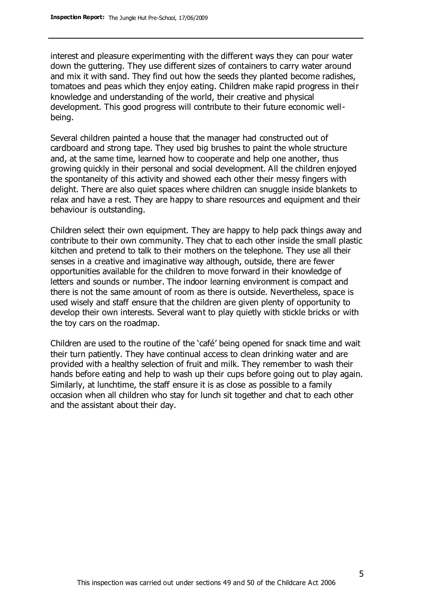interest and pleasure experimenting with the different ways they can pour water down the guttering. They use different sizes of containers to carry water around and mix it with sand. They find out how the seeds they planted become radishes, tomatoes and peas which they enjoy eating. Children make rapid progress in their knowledge and understanding of the world, their creative and physical development. This good progress will contribute to their future economic wellbeing.

Several children painted a house that the manager had constructed out of cardboard and strong tape. They used big brushes to paint the whole structure and, at the same time, learned how to cooperate and help one another, thus growing quickly in their personal and social development. All the children enjoyed the spontaneity of this activity and showed each other their messy fingers with delight. There are also quiet spaces where children can snuggle inside blankets to relax and have a rest. They are happy to share resources and equipment and their behaviour is outstanding.

Children select their own equipment. They are happy to help pack things away and contribute to their own community. They chat to each other inside the small plastic kitchen and pretend to talk to their mothers on the telephone. They use all their senses in a creative and imaginative way although, outside, there are fewer opportunities available for the children to move forward in their knowledge of letters and sounds or number. The indoor learning environment is compact and there is not the same amount of room as there is outside. Nevertheless, space is used wisely and staff ensure that the children are given plenty of opportunity to develop their own interests. Several want to play quietly with stickle bricks or with the toy cars on the roadmap.

Children are used to the routine of the 'café' being opened for snack time and wait their turn patiently. They have continual access to clean drinking water and are provided with a healthy selection of fruit and milk. They remember to wash their hands before eating and help to wash up their cups before going out to play again. Similarly, at lunchtime, the staff ensure it is as close as possible to a family occasion when all children who stay for lunch sit together and chat to each other and the assistant about their day.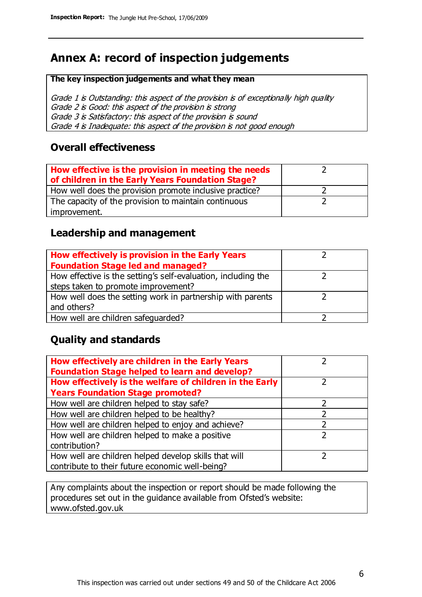# **Annex A: record of inspection judgements**

#### **The key inspection judgements and what they mean**

Grade 1 is Outstanding: this aspect of the provision is of exceptionally high quality Grade 2 is Good: this aspect of the provision is strong Grade 3 is Satisfactory: this aspect of the provision is sound Grade 4 is Inadequate: this aspect of the provision is not good enough

#### **Overall effectiveness**

| How effective is the provision in meeting the needs<br>of children in the Early Years Foundation Stage? |  |
|---------------------------------------------------------------------------------------------------------|--|
| How well does the provision promote inclusive practice?                                                 |  |
| The capacity of the provision to maintain continuous                                                    |  |
| improvement.                                                                                            |  |

#### **Leadership and management**

| How effectively is provision in the Early Years               |  |
|---------------------------------------------------------------|--|
| <b>Foundation Stage led and managed?</b>                      |  |
| How effective is the setting's self-evaluation, including the |  |
| steps taken to promote improvement?                           |  |
| How well does the setting work in partnership with parents    |  |
| and others?                                                   |  |
| How well are children safequarded?                            |  |

## **Quality and standards**

| How effectively are children in the Early Years<br><b>Foundation Stage helped to learn and develop?</b> |   |
|---------------------------------------------------------------------------------------------------------|---|
| How effectively is the welfare of children in the Early                                                 | ר |
| <b>Years Foundation Stage promoted?</b>                                                                 |   |
| How well are children helped to stay safe?                                                              |   |
| How well are children helped to be healthy?                                                             |   |
| How well are children helped to enjoy and achieve?                                                      |   |
| How well are children helped to make a positive                                                         | 2 |
| contribution?                                                                                           |   |
| How well are children helped develop skills that will                                                   |   |
| contribute to their future economic well-being?                                                         |   |

Any complaints about the inspection or report should be made following the procedures set out in the guidance available from Ofsted's website: www.ofsted.gov.uk